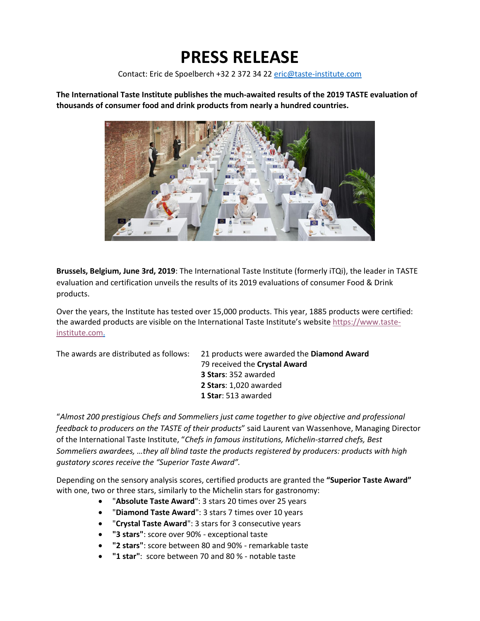## **PRESS RELEASE**

Contact: Eric de Spoelberch +32 2 372 34 22 [eric@taste-institute.com](mailto:eric@taste-institute.com)

**The International Taste Institute publishes the much-awaited results of the 2019 TASTE evaluation of thousands of consumer food and drink products from nearly a hundred countries.**



**Brussels, Belgium, June 3rd, 2019**: The International Taste Institute (formerly iTQi), the leader in TASTE evaluation and certification unveils the results of its 2019 evaluations of consumer Food & Drink products.

Over the years, the Institute has tested over 15,000 products. This year, 1885 products were certified: the awarded products are visible on the International Taste Institute's website [https://www.taste](https://www.taste-institute.com/en/home)[institute.com.](https://www.taste-institute.com/en/home)

The awards are distributed as follows: 21 products were awarded the **Diamond Award**

79 received the **Crystal Award 3 Stars**: 352 awarded **2 Stars**: 1,020 awarded **1 Star**: 513 awarded

"*Almost 200 prestigious Chefs and Sommeliers just came together to give objective and professional feedback to producers on the TASTE of their products*" said Laurent van Wassenhove, Managing Director of the International Taste Institute, "*Chefs in famous institutions, Michelin-starred chefs, Best Sommeliers awardees, …they all blind taste the products registered by producers: products with high gustatory scores receive the "Superior Taste Award".*

Depending on the sensory analysis scores, certified products are granted the **"Superior Taste Award"** with one, two or three stars, similarly to the Michelin stars for gastronomy:

- "**Absolute Taste Award**": 3 stars 20 times over 25 years
- "**Diamond Taste Award**": 3 stars 7 times over 10 years
- "**Crystal Taste Award**": 3 stars for 3 consecutive years
- **"3 stars"**: score over 90% exceptional taste
- **"2 stars"**: score between 80 and 90% remarkable taste
- **"1 star"**: score between 70 and 80 % notable taste